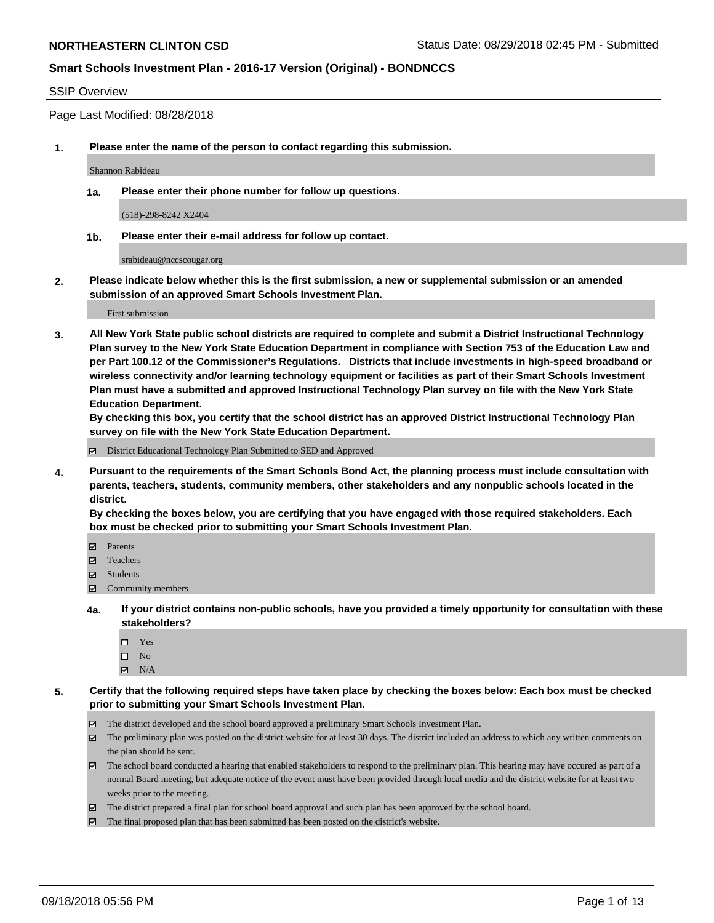#### SSIP Overview

Page Last Modified: 08/28/2018

**1. Please enter the name of the person to contact regarding this submission.**

Shannon Rabideau

**1a. Please enter their phone number for follow up questions.**

(518)-298-8242 X2404

**1b. Please enter their e-mail address for follow up contact.**

srabideau@nccscougar.org

**2. Please indicate below whether this is the first submission, a new or supplemental submission or an amended submission of an approved Smart Schools Investment Plan.**

First submission

**3. All New York State public school districts are required to complete and submit a District Instructional Technology Plan survey to the New York State Education Department in compliance with Section 753 of the Education Law and per Part 100.12 of the Commissioner's Regulations. Districts that include investments in high-speed broadband or wireless connectivity and/or learning technology equipment or facilities as part of their Smart Schools Investment Plan must have a submitted and approved Instructional Technology Plan survey on file with the New York State Education Department.** 

**By checking this box, you certify that the school district has an approved District Instructional Technology Plan survey on file with the New York State Education Department.**

District Educational Technology Plan Submitted to SED and Approved

**4. Pursuant to the requirements of the Smart Schools Bond Act, the planning process must include consultation with parents, teachers, students, community members, other stakeholders and any nonpublic schools located in the district.** 

**By checking the boxes below, you are certifying that you have engaged with those required stakeholders. Each box must be checked prior to submitting your Smart Schools Investment Plan.**

- **□** Parents
- Teachers
- Students
- $\Xi$  Community members
- **4a. If your district contains non-public schools, have you provided a timely opportunity for consultation with these stakeholders?**
	- Yes
	- $\square$  No
	- $N/A$
- **5. Certify that the following required steps have taken place by checking the boxes below: Each box must be checked prior to submitting your Smart Schools Investment Plan.**
	- The district developed and the school board approved a preliminary Smart Schools Investment Plan.
	- $\boxtimes$  The preliminary plan was posted on the district website for at least 30 days. The district included an address to which any written comments on the plan should be sent.
	- $\boxtimes$  The school board conducted a hearing that enabled stakeholders to respond to the preliminary plan. This hearing may have occured as part of a normal Board meeting, but adequate notice of the event must have been provided through local media and the district website for at least two weeks prior to the meeting.
	- The district prepared a final plan for school board approval and such plan has been approved by the school board.
	- $\boxtimes$  The final proposed plan that has been submitted has been posted on the district's website.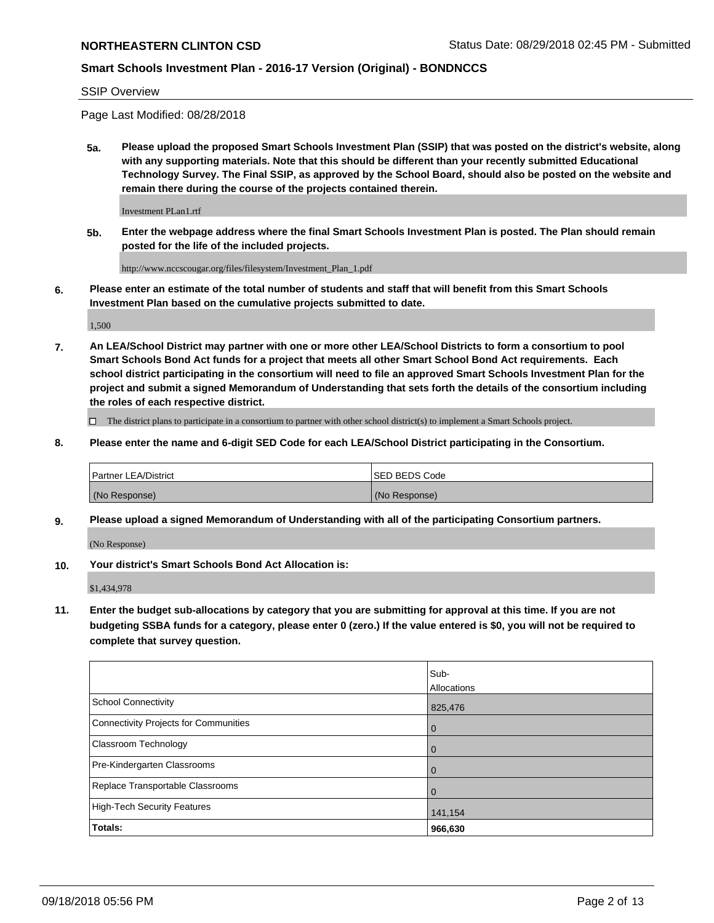SSIP Overview

Page Last Modified: 08/28/2018

**5a. Please upload the proposed Smart Schools Investment Plan (SSIP) that was posted on the district's website, along with any supporting materials. Note that this should be different than your recently submitted Educational Technology Survey. The Final SSIP, as approved by the School Board, should also be posted on the website and remain there during the course of the projects contained therein.**

Investment PLan1.rtf

**5b. Enter the webpage address where the final Smart Schools Investment Plan is posted. The Plan should remain posted for the life of the included projects.**

http://www.nccscougar.org/files/filesystem/Investment\_Plan\_1.pdf

**6. Please enter an estimate of the total number of students and staff that will benefit from this Smart Schools Investment Plan based on the cumulative projects submitted to date.**

1,500

**7. An LEA/School District may partner with one or more other LEA/School Districts to form a consortium to pool Smart Schools Bond Act funds for a project that meets all other Smart School Bond Act requirements. Each school district participating in the consortium will need to file an approved Smart Schools Investment Plan for the project and submit a signed Memorandum of Understanding that sets forth the details of the consortium including the roles of each respective district.**

 $\Box$  The district plans to participate in a consortium to partner with other school district(s) to implement a Smart Schools project.

**8. Please enter the name and 6-digit SED Code for each LEA/School District participating in the Consortium.**

| <b>Partner LEA/District</b> | ISED BEDS Code |
|-----------------------------|----------------|
| (No Response)               | (No Response)  |

**9. Please upload a signed Memorandum of Understanding with all of the participating Consortium partners.**

(No Response)

**10. Your district's Smart Schools Bond Act Allocation is:**

\$1,434,978

**11. Enter the budget sub-allocations by category that you are submitting for approval at this time. If you are not budgeting SSBA funds for a category, please enter 0 (zero.) If the value entered is \$0, you will not be required to complete that survey question.**

|                                              | Sub-        |
|----------------------------------------------|-------------|
|                                              | Allocations |
| <b>School Connectivity</b>                   | 825,476     |
| <b>Connectivity Projects for Communities</b> | O           |
| <b>Classroom Technology</b>                  |             |
| Pre-Kindergarten Classrooms                  | $\Omega$    |
| Replace Transportable Classrooms             | 0           |
| <b>High-Tech Security Features</b>           | 141,154     |
| Totals:                                      | 966,630     |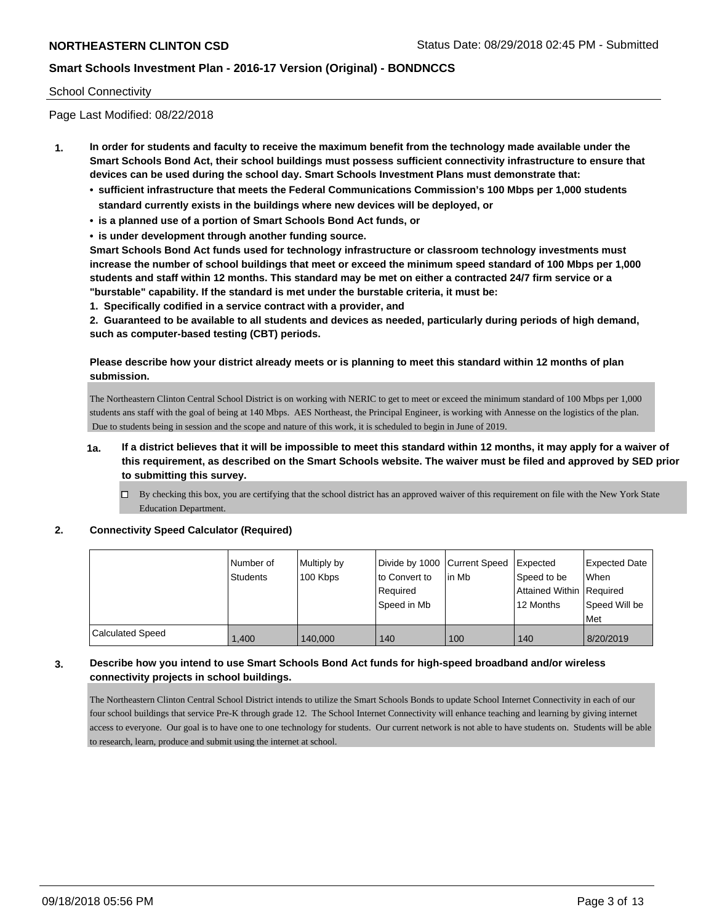#### School Connectivity

Page Last Modified: 08/22/2018

- **1. In order for students and faculty to receive the maximum benefit from the technology made available under the Smart Schools Bond Act, their school buildings must possess sufficient connectivity infrastructure to ensure that devices can be used during the school day. Smart Schools Investment Plans must demonstrate that:**
	- **• sufficient infrastructure that meets the Federal Communications Commission's 100 Mbps per 1,000 students standard currently exists in the buildings where new devices will be deployed, or**
	- **• is a planned use of a portion of Smart Schools Bond Act funds, or**
	- **• is under development through another funding source.**

**Smart Schools Bond Act funds used for technology infrastructure or classroom technology investments must increase the number of school buildings that meet or exceed the minimum speed standard of 100 Mbps per 1,000 students and staff within 12 months. This standard may be met on either a contracted 24/7 firm service or a "burstable" capability. If the standard is met under the burstable criteria, it must be:**

**1. Specifically codified in a service contract with a provider, and**

**2. Guaranteed to be available to all students and devices as needed, particularly during periods of high demand, such as computer-based testing (CBT) periods.**

### **Please describe how your district already meets or is planning to meet this standard within 12 months of plan submission.**

The Northeastern Clinton Central School District is on working with NERIC to get to meet or exceed the minimum standard of 100 Mbps per 1,000 students ans staff with the goal of being at 140 Mbps. AES Northeast, the Principal Engineer, is working with Annesse on the logistics of the plan. Due to students being in session and the scope and nature of this work, it is scheduled to begin in June of 2019.

- **1a. If a district believes that it will be impossible to meet this standard within 12 months, it may apply for a waiver of this requirement, as described on the Smart Schools website. The waiver must be filed and approved by SED prior to submitting this survey.**
	- By checking this box, you are certifying that the school district has an approved waiver of this requirement on file with the New York State Education Department.

#### **2. Connectivity Speed Calculator (Required)**

|                  | l Number of<br>Students | Multiply by<br>100 Kbps | to Convert to<br>Required<br>Speed in Mb | Divide by 1000 Current Speed Expected<br>l in Mb | Speed to be<br>Attained Within Required<br>12 Months | Expected Date<br>When<br>Speed Will be<br>Met |
|------------------|-------------------------|-------------------------|------------------------------------------|--------------------------------------------------|------------------------------------------------------|-----------------------------------------------|
| Calculated Speed | .400                    | 140,000                 | 140                                      | 100                                              | 140                                                  | 8/20/2019                                     |

### **3. Describe how you intend to use Smart Schools Bond Act funds for high-speed broadband and/or wireless connectivity projects in school buildings.**

The Northeastern Clinton Central School District intends to utilize the Smart Schools Bonds to update School Internet Connectivity in each of our four school buildings that service Pre-K through grade 12. The School Internet Connectivity will enhance teaching and learning by giving internet access to everyone. Our goal is to have one to one technology for students. Our current network is not able to have students on. Students will be able to research, learn, produce and submit using the internet at school.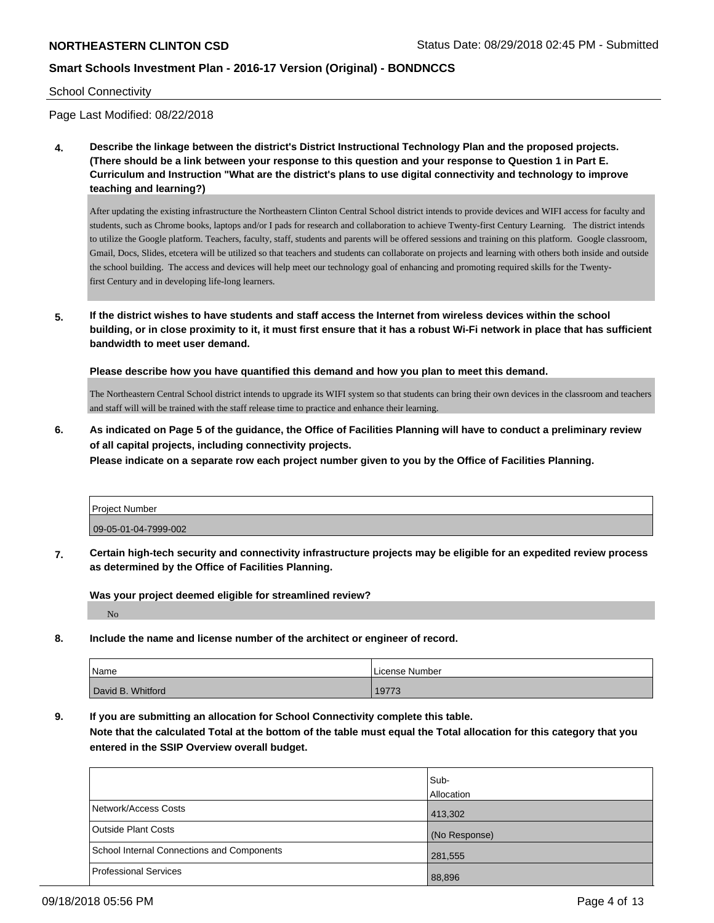#### School Connectivity

Page Last Modified: 08/22/2018

**4. Describe the linkage between the district's District Instructional Technology Plan and the proposed projects. (There should be a link between your response to this question and your response to Question 1 in Part E. Curriculum and Instruction "What are the district's plans to use digital connectivity and technology to improve teaching and learning?)**

After updating the existing infrastructure the Northeastern Clinton Central School district intends to provide devices and WIFI access for faculty and students, such as Chrome books, laptops and/or I pads for research and collaboration to achieve Twenty-first Century Learning. The district intends to utilize the Google platform. Teachers, faculty, staff, students and parents will be offered sessions and training on this platform. Google classroom, Gmail, Docs, Slides, etcetera will be utilized so that teachers and students can collaborate on projects and learning with others both inside and outside the school building. The access and devices will help meet our technology goal of enhancing and promoting required skills for the Twentyfirst Century and in developing life-long learners.

**5. If the district wishes to have students and staff access the Internet from wireless devices within the school building, or in close proximity to it, it must first ensure that it has a robust Wi-Fi network in place that has sufficient bandwidth to meet user demand.**

**Please describe how you have quantified this demand and how you plan to meet this demand.**

The Northeastern Central School district intends to upgrade its WIFI system so that students can bring their own devices in the classroom and teachers and staff will will be trained with the staff release time to practice and enhance their learning.

**6. As indicated on Page 5 of the guidance, the Office of Facilities Planning will have to conduct a preliminary review of all capital projects, including connectivity projects.**

**Please indicate on a separate row each project number given to you by the Office of Facilities Planning.**

| Project Number       |  |
|----------------------|--|
| 09-05-01-04-7999-002 |  |

**7. Certain high-tech security and connectivity infrastructure projects may be eligible for an expedited review process as determined by the Office of Facilities Planning.**

**Was your project deemed eligible for streamlined review?**

No

**8. Include the name and license number of the architect or engineer of record.**

| Name              | License Number |
|-------------------|----------------|
| David B. Whitford | 19773          |

**9. If you are submitting an allocation for School Connectivity complete this table.**

**Note that the calculated Total at the bottom of the table must equal the Total allocation for this category that you entered in the SSIP Overview overall budget.** 

|                                                   | Sub-          |
|---------------------------------------------------|---------------|
|                                                   | Allocation    |
| Network/Access Costs                              | 413,302       |
| Outside Plant Costs                               | (No Response) |
| <b>School Internal Connections and Components</b> | 281,555       |
| Professional Services                             | 88,896        |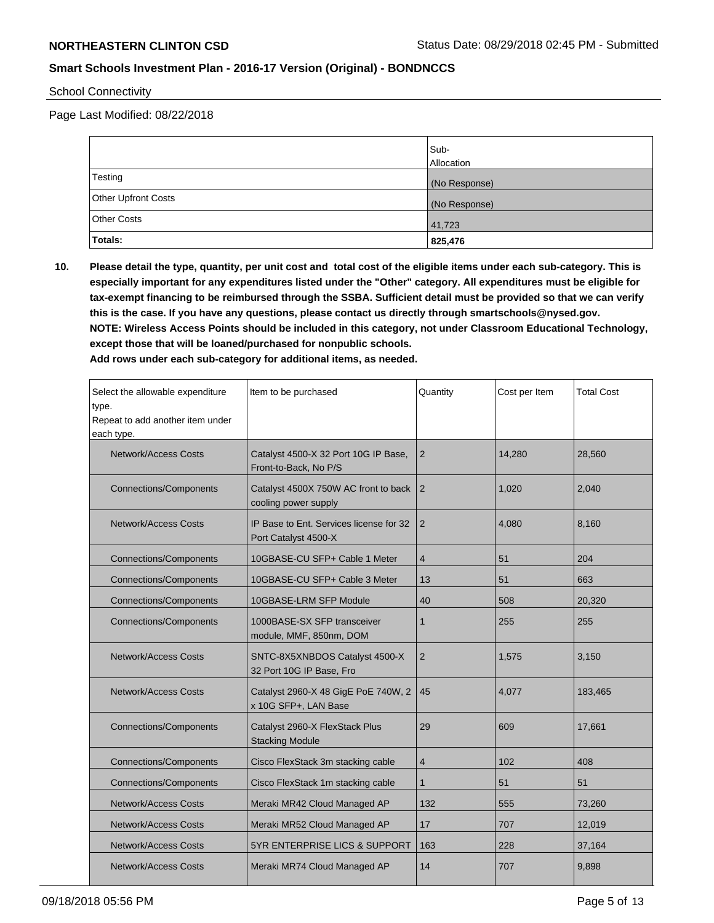### School Connectivity

Page Last Modified: 08/22/2018

|                            | Sub-<br><b>Allocation</b> |
|----------------------------|---------------------------|
| Testing                    | (No Response)             |
| <b>Other Upfront Costs</b> | (No Response)             |
| <b>Other Costs</b>         | 41,723                    |
| <b>Totals:</b>             | 825,476                   |

**10. Please detail the type, quantity, per unit cost and total cost of the eligible items under each sub-category. This is especially important for any expenditures listed under the "Other" category. All expenditures must be eligible for tax-exempt financing to be reimbursed through the SSBA. Sufficient detail must be provided so that we can verify this is the case. If you have any questions, please contact us directly through smartschools@nysed.gov. NOTE: Wireless Access Points should be included in this category, not under Classroom Educational Technology, except those that will be loaned/purchased for nonpublic schools.**

**Add rows under each sub-category for additional items, as needed.**

| Select the allowable expenditure<br>type.<br>Repeat to add another item under<br>each type. | Item to be purchased                                            | Quantity       | Cost per Item | <b>Total Cost</b> |
|---------------------------------------------------------------------------------------------|-----------------------------------------------------------------|----------------|---------------|-------------------|
| <b>Network/Access Costs</b>                                                                 | Catalyst 4500-X 32 Port 10G IP Base,<br>Front-to-Back, No P/S   | $\overline{2}$ | 14,280        | 28,560            |
| <b>Connections/Components</b>                                                               | Catalyst 4500X 750W AC front to back<br>cooling power supply    | 2              | 1.020         | 2.040             |
| <b>Network/Access Costs</b>                                                                 | IP Base to Ent. Services license for 32<br>Port Catalyst 4500-X | $\overline{2}$ | 4,080         | 8.160             |
| <b>Connections/Components</b>                                                               | 10GBASE-CU SFP+ Cable 1 Meter                                   | $\overline{4}$ | 51            | 204               |
| <b>Connections/Components</b>                                                               | 10GBASE-CU SFP+ Cable 3 Meter                                   | 13             | 51            | 663               |
| <b>Connections/Components</b>                                                               | 10GBASE-LRM SFP Module                                          | 40             | 508           | 20,320            |
| <b>Connections/Components</b>                                                               | 1000BASE-SX SFP transceiver<br>module, MMF, 850nm, DOM          | 1              | 255           | 255               |
| Network/Access Costs                                                                        | SNTC-8X5XNBDOS Catalyst 4500-X<br>32 Port 10G IP Base, Fro      | $\overline{2}$ | 1,575         | 3,150             |
| <b>Network/Access Costs</b>                                                                 | Catalyst 2960-X 48 GigE PoE 740W, 2<br>x 10G SFP+, LAN Base     | 45             | 4.077         | 183,465           |
| <b>Connections/Components</b>                                                               | Catalyst 2960-X FlexStack Plus<br><b>Stacking Module</b>        | 29             | 609           | 17,661            |
| <b>Connections/Components</b>                                                               | Cisco FlexStack 3m stacking cable                               | 4              | 102           | 408               |
| <b>Connections/Components</b>                                                               | Cisco FlexStack 1m stacking cable                               | $\mathbf{1}$   | 51            | 51                |
| <b>Network/Access Costs</b>                                                                 | Meraki MR42 Cloud Managed AP                                    | 132            | 555           | 73,260            |
| <b>Network/Access Costs</b>                                                                 | Meraki MR52 Cloud Managed AP                                    | 17             | 707           | 12,019            |
| Network/Access Costs                                                                        | 5YR ENTERPRISE LICS & SUPPORT                                   | 163            | 228           | 37,164            |
| Network/Access Costs                                                                        | Meraki MR74 Cloud Managed AP                                    | 14             | 707           | 9,898             |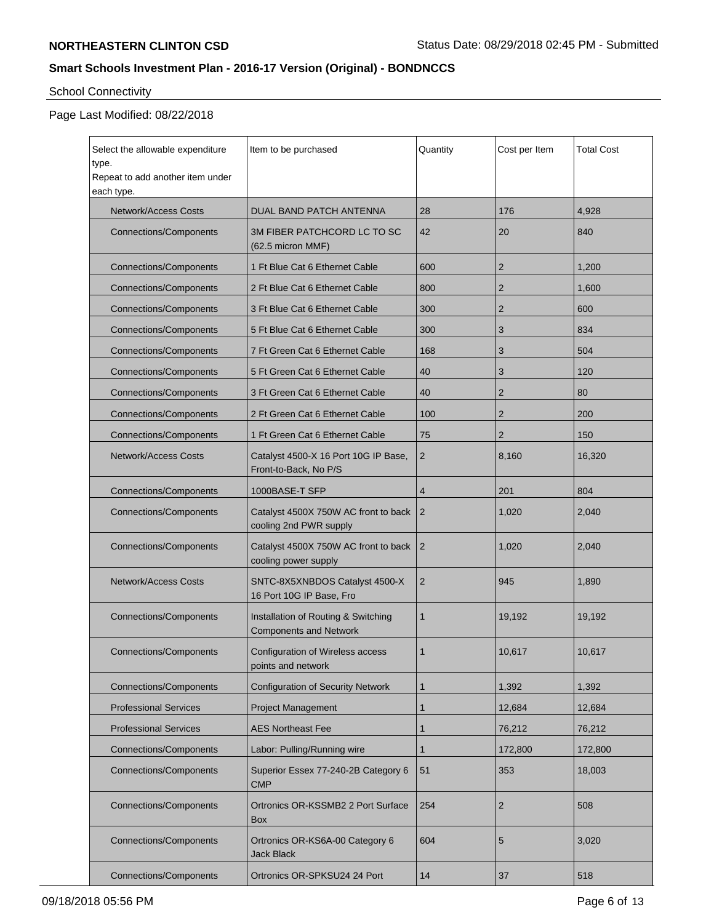# School Connectivity

# Page Last Modified: 08/22/2018

| Select the allowable expenditure<br>type.<br>Repeat to add another item under | Item to be purchased                                                 | Quantity       | Cost per Item  | <b>Total Cost</b> |
|-------------------------------------------------------------------------------|----------------------------------------------------------------------|----------------|----------------|-------------------|
| each type.<br>Network/Access Costs                                            | DUAL BAND PATCH ANTENNA                                              | 28             | 176            | 4,928             |
| <b>Connections/Components</b>                                                 | 3M FIBER PATCHCORD LC TO SC<br>(62.5 micron MMF)                     | 42             | 20             | 840               |
| <b>Connections/Components</b>                                                 | 1 Ft Blue Cat 6 Ethernet Cable                                       | 600            | $\overline{2}$ | 1,200             |
| <b>Connections/Components</b>                                                 | 2 Ft Blue Cat 6 Ethernet Cable                                       | 800            | 2              | 1,600             |
| <b>Connections/Components</b>                                                 | 3 Ft Blue Cat 6 Ethernet Cable                                       | 300            | 2              | 600               |
| <b>Connections/Components</b>                                                 | 5 Ft Blue Cat 6 Ethernet Cable                                       | 300            | 3              | 834               |
| <b>Connections/Components</b>                                                 | 7 Ft Green Cat 6 Ethernet Cable                                      | 168            | 3              | 504               |
| <b>Connections/Components</b>                                                 | 5 Ft Green Cat 6 Ethernet Cable                                      | 40             | 3              | 120               |
| <b>Connections/Components</b>                                                 | 3 Ft Green Cat 6 Ethernet Cable                                      | 40             | 2              | 80                |
| <b>Connections/Components</b>                                                 | 2 Ft Green Cat 6 Ethernet Cable                                      | 100            | 2              | 200               |
| <b>Connections/Components</b>                                                 | 1 Ft Green Cat 6 Ethernet Cable                                      | 75             | 2              | 150               |
| <b>Network/Access Costs</b>                                                   | Catalyst 4500-X 16 Port 10G IP Base,<br>Front-to-Back, No P/S        | $\overline{2}$ | 8,160          | 16,320            |
| <b>Connections/Components</b>                                                 | 1000BASE-T SFP                                                       | $\overline{4}$ | 201            | 804               |
| <b>Connections/Components</b>                                                 | Catalyst 4500X 750W AC front to back<br>cooling 2nd PWR supply       | $\overline{2}$ | 1,020          | 2,040             |
| <b>Connections/Components</b>                                                 | Catalyst 4500X 750W AC front to back<br>cooling power supply         | $\overline{2}$ | 1,020          | 2,040             |
| <b>Network/Access Costs</b>                                                   | SNTC-8X5XNBDOS Catalyst 4500-X<br>16 Port 10G IP Base, Fro           | $\overline{2}$ | 945            | 1,890             |
| <b>Connections/Components</b>                                                 | Installation of Routing & Switching<br><b>Components and Network</b> | 1              | 19,192         | 19,192            |
| <b>Connections/Components</b>                                                 | Configuration of Wireless access<br>points and network               | 1              | 10,617         | 10,617            |
| <b>Connections/Components</b>                                                 | <b>Configuration of Security Network</b>                             | $\mathbf{1}$   | 1,392          | 1,392             |
| <b>Professional Services</b>                                                  | <b>Project Management</b>                                            | $\mathbf{1}$   | 12,684         | 12,684            |
| <b>Professional Services</b>                                                  | <b>AES Northeast Fee</b>                                             | $\mathbf{1}$   | 76,212         | 76,212            |
| <b>Connections/Components</b>                                                 | Labor: Pulling/Running wire                                          | $\mathbf{1}$   | 172,800        | 172,800           |
| Connections/Components                                                        | Superior Essex 77-240-2B Category 6<br><b>CMP</b>                    | 51             | 353            | 18,003            |
| <b>Connections/Components</b>                                                 | Ortronics OR-KSSMB2 2 Port Surface<br>Box                            | 254            | $\overline{2}$ | 508               |
| <b>Connections/Components</b>                                                 | Ortronics OR-KS6A-00 Category 6<br><b>Jack Black</b>                 | 604            | 5              | 3,020             |
| <b>Connections/Components</b>                                                 | Ortronics OR-SPKSU24 24 Port                                         |                | 37             | 518               |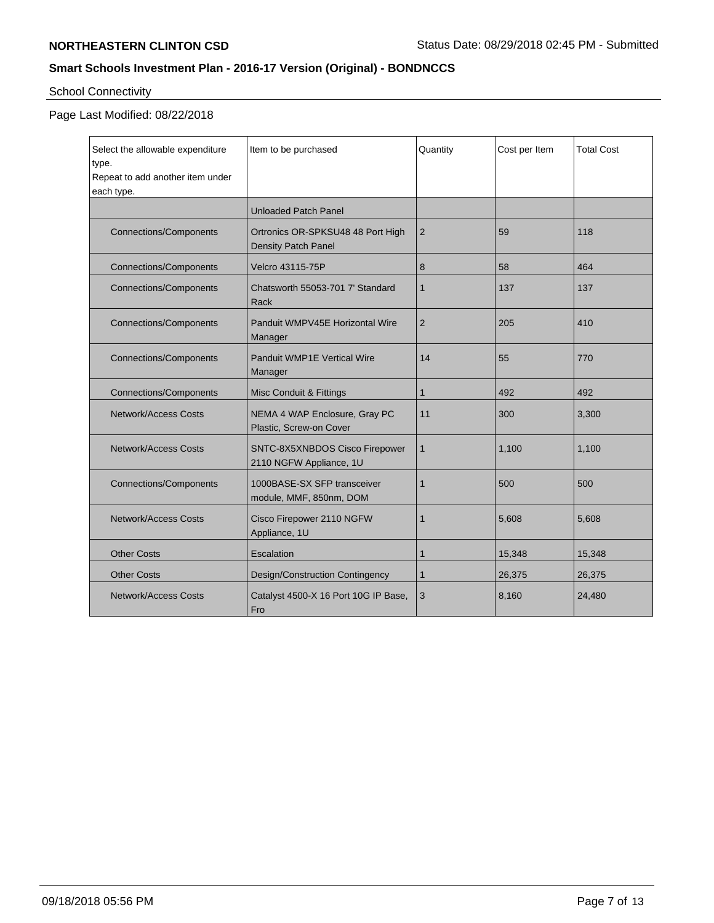# School Connectivity

# Page Last Modified: 08/22/2018

| Select the allowable expenditure<br>type.<br>Repeat to add another item under<br>each type. | Item to be purchased                                      | Quantity     | Cost per Item | <b>Total Cost</b> |
|---------------------------------------------------------------------------------------------|-----------------------------------------------------------|--------------|---------------|-------------------|
|                                                                                             | <b>Unloaded Patch Panel</b>                               |              |               |                   |
| <b>Connections/Components</b>                                                               | Ortronics OR-SPKSU48 48 Port High<br>Density Patch Panel  | 2            | 59            | 118               |
| <b>Connections/Components</b>                                                               | Velcro 43115-75P                                          | 8            | 58            | 464               |
| <b>Connections/Components</b>                                                               | Chatsworth 55053-701 7' Standard<br>Rack                  | $\mathbf{1}$ | 137           | 137               |
| <b>Connections/Components</b>                                                               | Panduit WMPV45E Horizontal Wire<br>Manager                | 2            | 205           | 410               |
| <b>Connections/Components</b>                                                               | <b>Panduit WMP1E Vertical Wire</b><br>Manager             | 14           | 55            | 770               |
| <b>Connections/Components</b>                                                               | Misc Conduit & Fittings                                   | 1            | 492           | 492               |
| <b>Network/Access Costs</b>                                                                 | NEMA 4 WAP Enclosure, Gray PC<br>Plastic, Screw-on Cover  | 11           | 300           | 3,300             |
| <b>Network/Access Costs</b>                                                                 | SNTC-8X5XNBDOS Cisco Firepower<br>2110 NGFW Appliance, 1U | 1            | 1,100         | 1,100             |
| <b>Connections/Components</b>                                                               | 1000BASE-SX SFP transceiver<br>module, MMF, 850nm, DOM    | 1            | 500           | 500               |
| <b>Network/Access Costs</b>                                                                 | Cisco Firepower 2110 NGFW<br>Appliance, 1U                | 1            | 5,608         | 5,608             |
| <b>Other Costs</b>                                                                          | Escalation                                                | 1            | 15,348        | 15,348            |
| <b>Other Costs</b>                                                                          | Design/Construction Contingency                           | $\mathbf{1}$ | 26,375        | 26,375            |
| Network/Access Costs                                                                        | Catalyst 4500-X 16 Port 10G IP Base,<br>Fro               | 3            | 8,160         | 24,480            |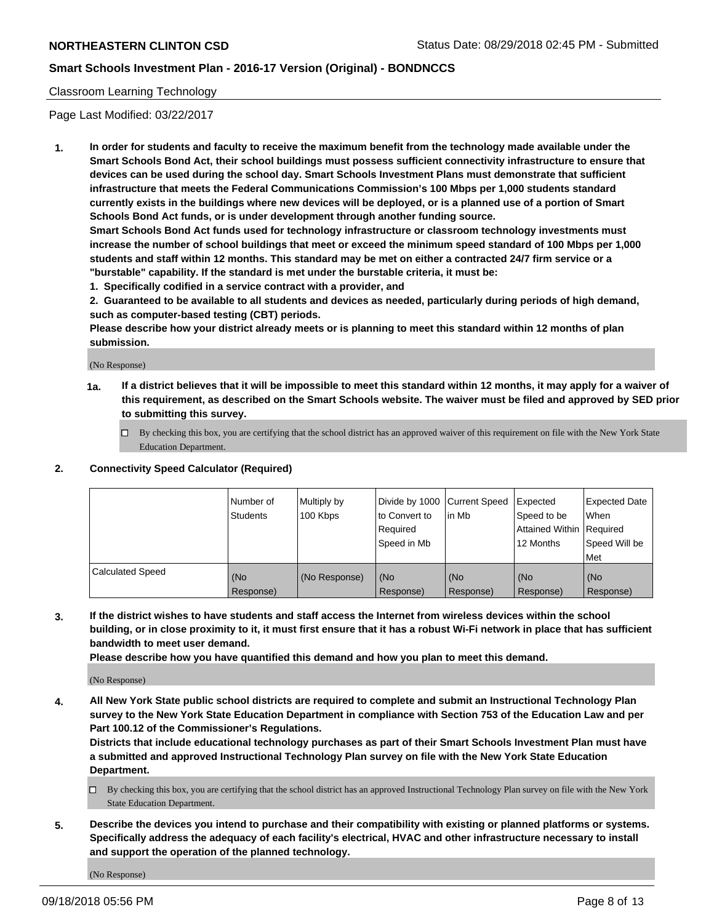### Classroom Learning Technology

Page Last Modified: 03/22/2017

**1. In order for students and faculty to receive the maximum benefit from the technology made available under the Smart Schools Bond Act, their school buildings must possess sufficient connectivity infrastructure to ensure that devices can be used during the school day. Smart Schools Investment Plans must demonstrate that sufficient infrastructure that meets the Federal Communications Commission's 100 Mbps per 1,000 students standard currently exists in the buildings where new devices will be deployed, or is a planned use of a portion of Smart Schools Bond Act funds, or is under development through another funding source.**

**Smart Schools Bond Act funds used for technology infrastructure or classroom technology investments must increase the number of school buildings that meet or exceed the minimum speed standard of 100 Mbps per 1,000 students and staff within 12 months. This standard may be met on either a contracted 24/7 firm service or a "burstable" capability. If the standard is met under the burstable criteria, it must be:**

**1. Specifically codified in a service contract with a provider, and**

**2. Guaranteed to be available to all students and devices as needed, particularly during periods of high demand, such as computer-based testing (CBT) periods.**

**Please describe how your district already meets or is planning to meet this standard within 12 months of plan submission.**

(No Response)

- **1a. If a district believes that it will be impossible to meet this standard within 12 months, it may apply for a waiver of this requirement, as described on the Smart Schools website. The waiver must be filed and approved by SED prior to submitting this survey.**
	- By checking this box, you are certifying that the school district has an approved waiver of this requirement on file with the New York State Education Department.

#### **2. Connectivity Speed Calculator (Required)**

|                         | Number of<br>Students | Multiply by<br>100 Kbps | Divide by 1000 Current Speed<br>to Convert to<br>Required<br>l Speed in Mb | lin Mb           | <b>Expected</b><br>Speed to be<br><b>Attained Within Required</b><br>12 Months | <b>Expected Date</b><br>When<br>Speed Will be<br><b>Met</b> |
|-------------------------|-----------------------|-------------------------|----------------------------------------------------------------------------|------------------|--------------------------------------------------------------------------------|-------------------------------------------------------------|
| <b>Calculated Speed</b> | (No<br>Response)      | (No Response)           | (No<br>Response)                                                           | (No<br>Response) | l (No<br>Response)                                                             | (No<br>Response)                                            |

**3. If the district wishes to have students and staff access the Internet from wireless devices within the school building, or in close proximity to it, it must first ensure that it has a robust Wi-Fi network in place that has sufficient bandwidth to meet user demand.**

**Please describe how you have quantified this demand and how you plan to meet this demand.**

(No Response)

**4. All New York State public school districts are required to complete and submit an Instructional Technology Plan survey to the New York State Education Department in compliance with Section 753 of the Education Law and per Part 100.12 of the Commissioner's Regulations.**

**Districts that include educational technology purchases as part of their Smart Schools Investment Plan must have a submitted and approved Instructional Technology Plan survey on file with the New York State Education Department.**

- By checking this box, you are certifying that the school district has an approved Instructional Technology Plan survey on file with the New York State Education Department.
- **5. Describe the devices you intend to purchase and their compatibility with existing or planned platforms or systems. Specifically address the adequacy of each facility's electrical, HVAC and other infrastructure necessary to install and support the operation of the planned technology.**

(No Response)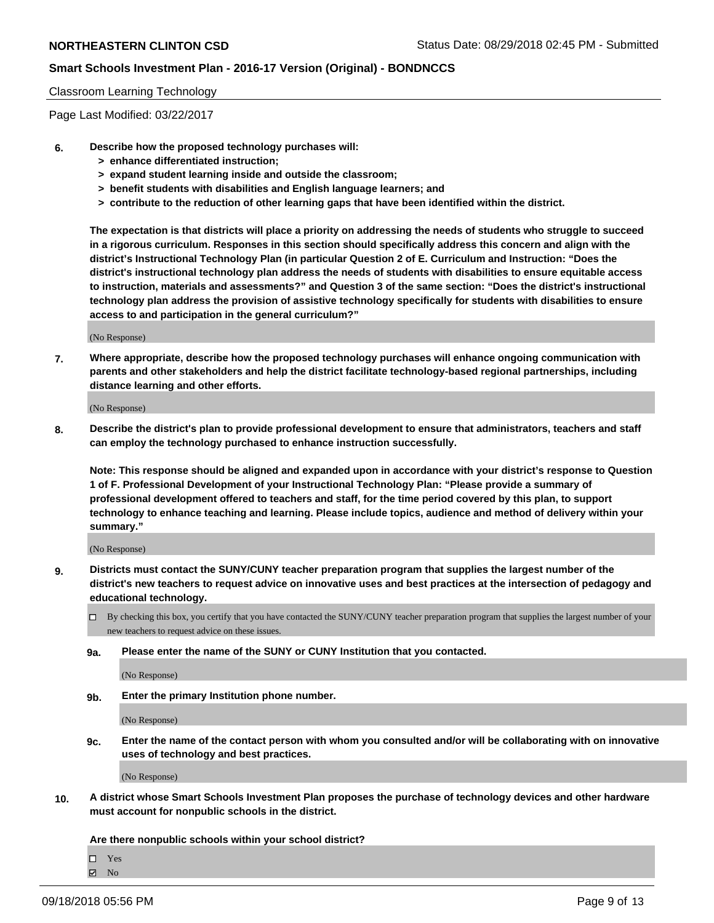#### Classroom Learning Technology

Page Last Modified: 03/22/2017

- **6. Describe how the proposed technology purchases will:**
	- **> enhance differentiated instruction;**
	- **> expand student learning inside and outside the classroom;**
	- **> benefit students with disabilities and English language learners; and**
	- **> contribute to the reduction of other learning gaps that have been identified within the district.**

**The expectation is that districts will place a priority on addressing the needs of students who struggle to succeed in a rigorous curriculum. Responses in this section should specifically address this concern and align with the district's Instructional Technology Plan (in particular Question 2 of E. Curriculum and Instruction: "Does the district's instructional technology plan address the needs of students with disabilities to ensure equitable access to instruction, materials and assessments?" and Question 3 of the same section: "Does the district's instructional technology plan address the provision of assistive technology specifically for students with disabilities to ensure access to and participation in the general curriculum?"**

(No Response)

**7. Where appropriate, describe how the proposed technology purchases will enhance ongoing communication with parents and other stakeholders and help the district facilitate technology-based regional partnerships, including distance learning and other efforts.**

(No Response)

**8. Describe the district's plan to provide professional development to ensure that administrators, teachers and staff can employ the technology purchased to enhance instruction successfully.**

**Note: This response should be aligned and expanded upon in accordance with your district's response to Question 1 of F. Professional Development of your Instructional Technology Plan: "Please provide a summary of professional development offered to teachers and staff, for the time period covered by this plan, to support technology to enhance teaching and learning. Please include topics, audience and method of delivery within your summary."**

(No Response)

- **9. Districts must contact the SUNY/CUNY teacher preparation program that supplies the largest number of the district's new teachers to request advice on innovative uses and best practices at the intersection of pedagogy and educational technology.**
	- By checking this box, you certify that you have contacted the SUNY/CUNY teacher preparation program that supplies the largest number of your new teachers to request advice on these issues.
	- **9a. Please enter the name of the SUNY or CUNY Institution that you contacted.**

(No Response)

**9b. Enter the primary Institution phone number.**

(No Response)

**9c. Enter the name of the contact person with whom you consulted and/or will be collaborating with on innovative uses of technology and best practices.**

(No Response)

**10. A district whose Smart Schools Investment Plan proposes the purchase of technology devices and other hardware must account for nonpublic schools in the district.**

**Are there nonpublic schools within your school district?**

Yes

 $\boxtimes$  No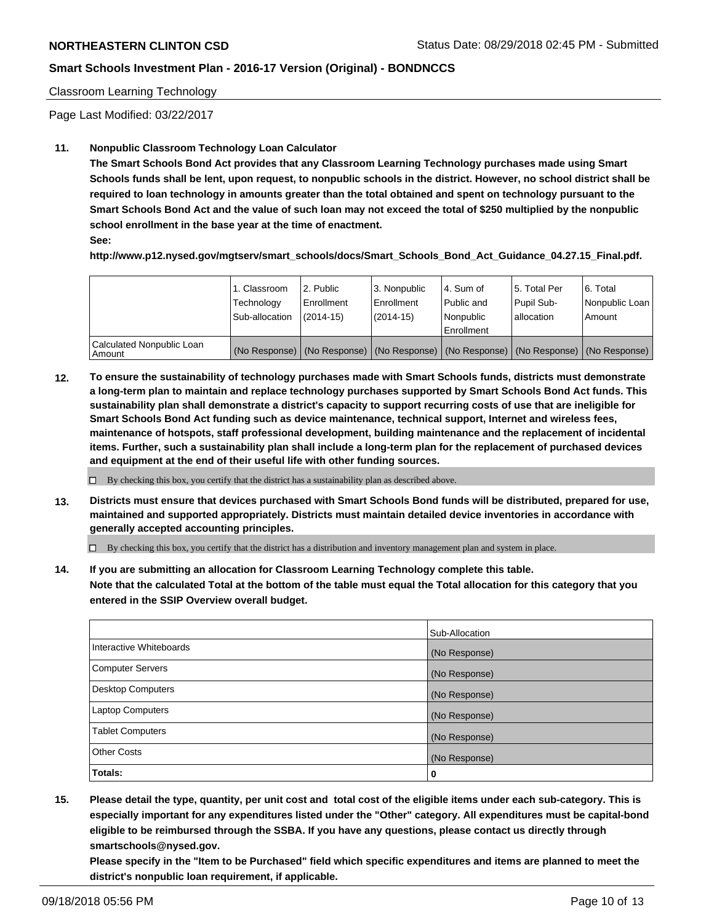### Classroom Learning Technology

Page Last Modified: 03/22/2017

### **11. Nonpublic Classroom Technology Loan Calculator**

**The Smart Schools Bond Act provides that any Classroom Learning Technology purchases made using Smart Schools funds shall be lent, upon request, to nonpublic schools in the district. However, no school district shall be required to loan technology in amounts greater than the total obtained and spent on technology pursuant to the Smart Schools Bond Act and the value of such loan may not exceed the total of \$250 multiplied by the nonpublic school enrollment in the base year at the time of enactment.**

**See:**

**http://www.p12.nysed.gov/mgtserv/smart\_schools/docs/Smart\_Schools\_Bond\_Act\_Guidance\_04.27.15\_Final.pdf.**

|                                       | 1. Classroom<br>Technology<br>Sub-allocation | 2. Public<br>Enrollment<br>$(2014-15)$ | 3. Nonpublic<br>Enrollment<br>$(2014-15)$ | l 4. Sum of<br>l Public and<br>l Nonpublic<br>l Enrollment | 15. Total Per<br>Pupil Sub-<br>lallocation | 6. Total<br>Nonpublic Loan  <br>Amount                                                        |
|---------------------------------------|----------------------------------------------|----------------------------------------|-------------------------------------------|------------------------------------------------------------|--------------------------------------------|-----------------------------------------------------------------------------------------------|
| Calculated Nonpublic Loan<br>l Amount |                                              |                                        |                                           |                                                            |                                            | (No Response)   (No Response)   (No Response)   (No Response)   (No Response)   (No Response) |

**12. To ensure the sustainability of technology purchases made with Smart Schools funds, districts must demonstrate a long-term plan to maintain and replace technology purchases supported by Smart Schools Bond Act funds. This sustainability plan shall demonstrate a district's capacity to support recurring costs of use that are ineligible for Smart Schools Bond Act funding such as device maintenance, technical support, Internet and wireless fees, maintenance of hotspots, staff professional development, building maintenance and the replacement of incidental items. Further, such a sustainability plan shall include a long-term plan for the replacement of purchased devices and equipment at the end of their useful life with other funding sources.**

 $\Box$  By checking this box, you certify that the district has a sustainability plan as described above.

**13. Districts must ensure that devices purchased with Smart Schools Bond funds will be distributed, prepared for use, maintained and supported appropriately. Districts must maintain detailed device inventories in accordance with generally accepted accounting principles.**

By checking this box, you certify that the district has a distribution and inventory management plan and system in place.

**14. If you are submitting an allocation for Classroom Learning Technology complete this table. Note that the calculated Total at the bottom of the table must equal the Total allocation for this category that you entered in the SSIP Overview overall budget.**

|                          | Sub-Allocation |
|--------------------------|----------------|
| Interactive Whiteboards  | (No Response)  |
| <b>Computer Servers</b>  | (No Response)  |
| <b>Desktop Computers</b> | (No Response)  |
| <b>Laptop Computers</b>  | (No Response)  |
| <b>Tablet Computers</b>  | (No Response)  |
| <b>Other Costs</b>       | (No Response)  |
| Totals:                  | 0              |

**15. Please detail the type, quantity, per unit cost and total cost of the eligible items under each sub-category. This is especially important for any expenditures listed under the "Other" category. All expenditures must be capital-bond eligible to be reimbursed through the SSBA. If you have any questions, please contact us directly through smartschools@nysed.gov.**

**Please specify in the "Item to be Purchased" field which specific expenditures and items are planned to meet the district's nonpublic loan requirement, if applicable.**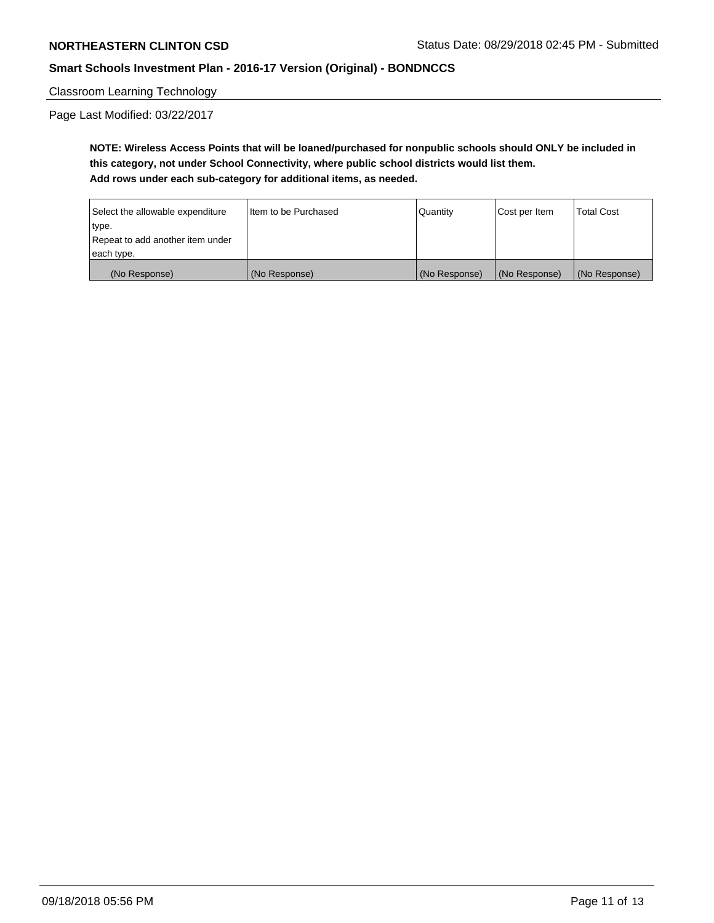Classroom Learning Technology

Page Last Modified: 03/22/2017

**NOTE: Wireless Access Points that will be loaned/purchased for nonpublic schools should ONLY be included in this category, not under School Connectivity, where public school districts would list them. Add rows under each sub-category for additional items, as needed.**

| Select the allowable expenditure | I Item to be Purchased | <b>Quantity</b> | Cost per Item | <b>Total Cost</b> |
|----------------------------------|------------------------|-----------------|---------------|-------------------|
| type.                            |                        |                 |               |                   |
| Repeat to add another item under |                        |                 |               |                   |
| each type.                       |                        |                 |               |                   |
| (No Response)                    | (No Response)          | (No Response)   | (No Response) | (No Response)     |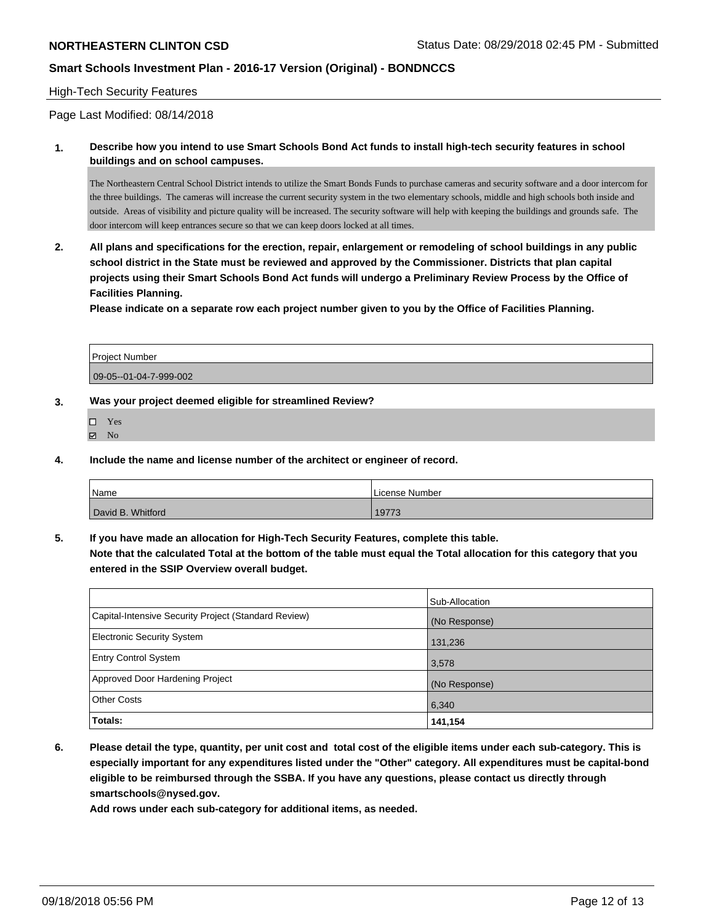### High-Tech Security Features

Page Last Modified: 08/14/2018

**1. Describe how you intend to use Smart Schools Bond Act funds to install high-tech security features in school buildings and on school campuses.**

The Northeastern Central School District intends to utilize the Smart Bonds Funds to purchase cameras and security software and a door intercom for the three buildings. The cameras will increase the current security system in the two elementary schools, middle and high schools both inside and outside. Areas of visibility and picture quality will be increased. The security software will help with keeping the buildings and grounds safe. The door intercom will keep entrances secure so that we can keep doors locked at all times.

**2. All plans and specifications for the erection, repair, enlargement or remodeling of school buildings in any public school district in the State must be reviewed and approved by the Commissioner. Districts that plan capital projects using their Smart Schools Bond Act funds will undergo a Preliminary Review Process by the Office of Facilities Planning.** 

**Please indicate on a separate row each project number given to you by the Office of Facilities Planning.**

| <b>Project Number</b>  |  |
|------------------------|--|
| 09-05--01-04-7-999-002 |  |

#### **3. Was your project deemed eligible for streamlined Review?**

- Yes
- $\boxtimes$  No

**4. Include the name and license number of the architect or engineer of record.**

| <sup>'</sup> Name | License Number |
|-------------------|----------------|
| David B. Whitford | 19773          |

**5. If you have made an allocation for High-Tech Security Features, complete this table.**

**Note that the calculated Total at the bottom of the table must equal the Total allocation for this category that you entered in the SSIP Overview overall budget.**

|                                                      | Sub-Allocation |
|------------------------------------------------------|----------------|
| Capital-Intensive Security Project (Standard Review) | (No Response)  |
| <b>Electronic Security System</b>                    | 131,236        |
| <b>Entry Control System</b>                          | 3,578          |
| Approved Door Hardening Project                      | (No Response)  |
| <b>Other Costs</b>                                   | 6,340          |
| Totals:                                              | 141,154        |

**6. Please detail the type, quantity, per unit cost and total cost of the eligible items under each sub-category. This is especially important for any expenditures listed under the "Other" category. All expenditures must be capital-bond eligible to be reimbursed through the SSBA. If you have any questions, please contact us directly through smartschools@nysed.gov.**

**Add rows under each sub-category for additional items, as needed.**